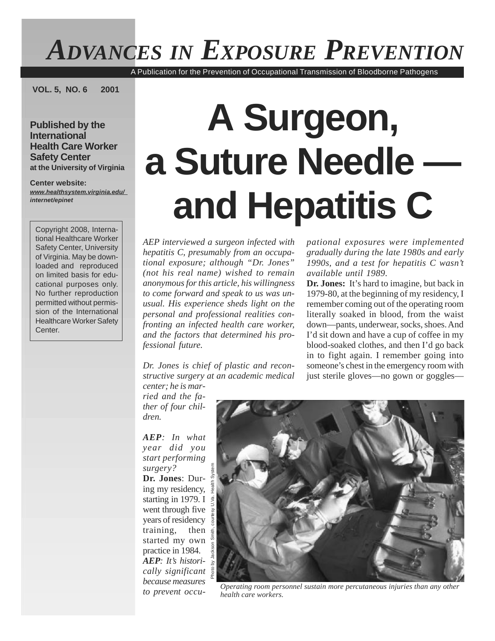## *ADVANCES IN EXPOSURE PREVENTION*

A Publication for the Prevention of Occupational Transmission of Bloodborne Pathogens

**VOL. 5, NO. 6 2001**

**Published by the International Health Care Worker Safety Center at the University of Virginia**

**Center website:** *[www.healthsystem.virginia.edu/](http://www.healthsystem.virginia.edu/) internet/epinet*

Copyright 2008, International Healthcare Worker Safety Center, University of Virginia. May be downloaded and reproduced on limited basis for educational purposes only. No further reproduction permitted without permission of the International Healthcare Worker Safety Center.

# **A Surgeon, a Suture Needle and Hepatitis C**

*AEP interviewed a surgeon infected with hepatitis C, presumably from an occupational exposure; although "Dr. Jones" (not his real name) wished to remain anonymousforthis article, his willingness to come forward and speak to us was unusual. His experience sheds light on the personal and professional realities confronting an infected health care worker, and the factors that determined his professional future.*

*Dr. Jones is chief of plastic and reconstructive surgery at an academic medical* *pational exposures were implemented gradually during the late 1980s and early 1990s, and a test for hepatitis C wasn't available until 1989.*

**Dr. Jones:** It's hard to imagine, but back in 1979-80, at the beginning of my residency, I remember coming out of the operating room literally soaked in blood, from the waist down—pants, underwear, socks, shoes. And I'd sit down and have a cup of coffee in my blood-soaked clothes, and then I'd go back in to fight again. I remember going into someone's chest in the emergency room with just sterile gloves—no gown or goggles—

*center; he is married and the father of four children.*

*AEP: In what year did you start performing surgery?*

**Dr. Jones**: During my residency,  $rac{2}{\frac{6}{9}}$ starting in 1979. I went through five years of residency training, then started my own practice in 1984. *AEP: It's historically significant because measures to prevent occu-*



*Operating room personnel sustain more percutaneous injuries than any other health care workers.*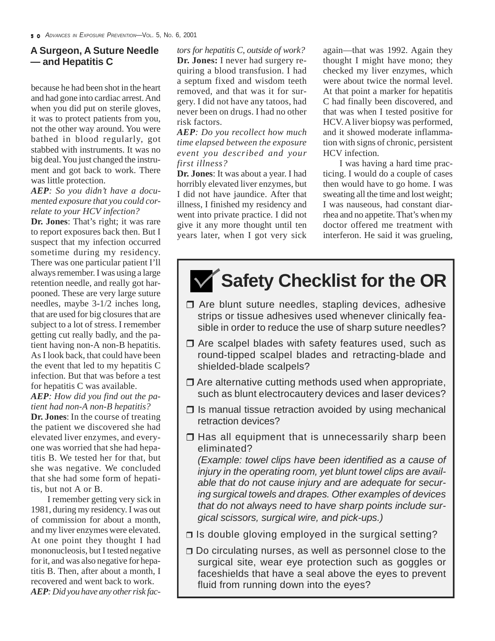because he had been shot in the heart and had gone into cardiac arrest.And when you did put on sterile gloves, it was to protect patients from you, not the other way around. You were bathed in blood regularly, got stabbed with instruments. It was no big deal.You just changed the instrument and got back to work. There was little protection.

#### *AEP: So you didn't have a documented exposure that you could correlate to your HCV infection?*

**Dr. Jones**: That's right; it was rare to report exposures back then. But I suspect that my infection occurred sometime during my residency. There was one particular patient I'll always remember. I was using a large retention needle, and really got harpooned. These are very large suture needles, maybe 3-1/2 inches long, that are used for big closures that are subject to a lot of stress. I remember getting cut really badly, and the patient having non-A non-B hepatitis. As I look back, that could have been the event that led to my hepatitis C infection. But that was before a test for hepatitis C was available.

*AEP: How did you find out the patient had non-A non-B hepatitis?*

**Dr. Jones**: In the course of treating the patient we discovered she had elevated liver enzymes, and everyone was worried that she had hepatitis B. We tested her for that, but she was negative. We concluded that she had some form of hepatitis, but not A or B.

I remember getting very sick in 1981, during my residency. I was out of commission for about a month, and my liver enzymes were elevated. At one point they thought I had mononucleosis, but I tested negative for it, and was also negative for hepatitis B. Then, after about a month, I recovered and went back to work. AEP: Did you have any other risk fac-

*tors for hepatitis C, outside of work?* **Dr. Jones:** I never had surgery requiring a blood transfusion. I had a septum fixed and wisdom teeth removed, and that was it for surgery. I did not have any tatoos, had never been on drugs. I had no other risk factors.

*AEP: Do you recollect how much time elapsed between the exposure event you described and your first illness?*

**Dr. Jones**: It was about a year. I had horribly elevated liver enzymes, but I did not have jaundice. After that illness, I finished my residency and went into private practice. I did not give it any more thought until ten years later, when I got very sick again—that was 1992. Again they thought I might have mono; they checked my liver enzymes, which were about twice the normal level. At that point a marker for hepatitis C had finally been discovered, and that was when I tested positive for HCV.Aliver biopsy was performed, and it showed moderate inflammation with signs of chronic, persistent HCV infection.

I was having a hard time practicing. I would do a couple of cases then would have to go home. I was sweating all the time and lost weight; I was nauseous, had constant diarrhea and no appetite.That's when my doctor offered me treatment with interferon. He said it was grueling,

### **Safety Checklist for the OR**

- $\Box$  Are blunt suture needles, stapling devices, adhesive strips or tissue adhesives used whenever clinically feasible in order to reduce the use of sharp suture needles?
- $\Box$  Are scalpel blades with safety features used, such as round-tipped scalpel blades and retracting-blade and shielded-blade scalpels?
- $\Box$  Are alternative cutting methods used when appropriate, such as blunt electrocautery devices and laser devices?
- $\Box$  Is manual tissue retraction avoided by using mechanical retraction devices?
- $\Box$  Has all equipment that is unnecessarily sharp been eliminated? *(Example: towel clips have been identified as a cause of*

*injury in the operating room, yet blunt towel clips are available that do not cause injury and are adequate for securing surgical towels and drapes. Other examples of devices that do not always need to have sharp points include surgical scissors, surgical wire, and pick-ups.)*

- $\Box$  Is double gloving employed in the surgical setting?
- □ Do circulating nurses, as well as personnel close to the surgical site, wear eye protection such as goggles or faceshields that have a seal above the eyes to prevent fluid from running down into the eyes?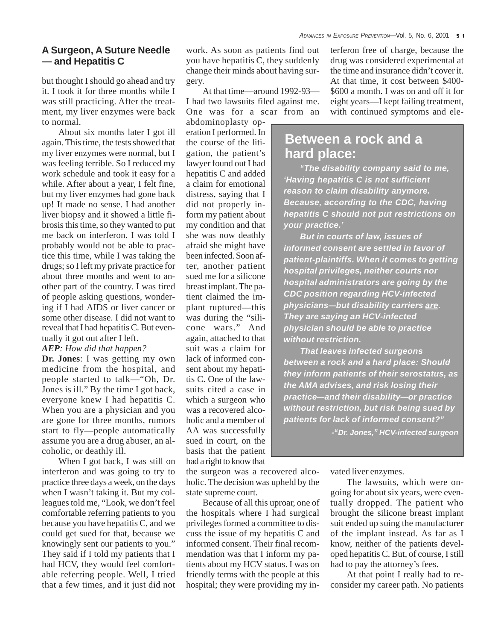but thought I should go ahead and try it. I took it for three months while I was still practicing. After the treatment, my liver enzymes were back to normal.

About six months later I got ill again. This time, the tests showed that my liver enzymes were normal, but I was feeling terrible. So I reduced my work schedule and took it easy for a while. After about a year, I felt fine, but my liver enzymes had gone back up! It made no sense. I had another liver biopsy and it showed a little fibrosis this time, so they wanted to put me back on interferon. I was told I probably would not be able to practice this time, while I was taking the drugs; so I left my private practice for about three months and went to another part of the country. I was tired of people asking questions, wondering if I had AIDS or liver cancer or some other disease. I did not want to reveal that I had hepatitis C. But eventually it got out after I left.

#### *AEP: How did that happen?*

**Dr. Jones**: I was getting my own medicine from the hospital, and people started to talk—"Oh, Dr. Jones is ill." By the time I got back, everyone knew I had hepatitis C. When you are a physician and you are gone for three months, rumors start to fly—people automatically assume you are a drug abuser, an alcoholic, or deathly ill.

When I got back, I was still on interferon and was going to try to practice three days a week, on the days when I wasn't taking it. But my colleagues told me, "Look, we don't feel comfortable referring patients to you because you have hepatitis C, and we could get sued for that, because we knowingly sent our patients to you." They said if I told my patients that I had HCV, they would feel comfortable referring people. Well, I tried that a few times, and it just did not

work. As soon as patients find out you have hepatitis C, they suddenly change their minds about having surgery.

At that time—around 1992-93— I had two lawsuits filed against me. One was for a scar from an

abdominoplasty operation I performed.In the course of the litigation, the patient's lawyer found out I had hepatitis C and added a claim for emotional distress, saying that I did not properly inform my patient about my condition and that she was now deathly afraid she might have been infected. Soon after, another patient sued me for a silicone breast implant.The patient claimed the implant ruptured—this was during the "silicone wars." And again, attached to that suit was a claim for lack of informed consent about my hepatitis C. One of the lawsuits cited a case in which a surgeon who was a recovered alcoholic and a member of AA was successfully sued in court, on the basis that the patient had a right to know that

the surgeon was a recovered alcoholic. The decision was upheld by the state supreme court.

Because of all this uproar, one of the hospitals where I had surgical privileges formed a committee to discuss the issue of my hepatitis C and informed consent. Their final recommendation was that I inform my patients about my HCV status. I was on friendly terms with the people at this hospital; they were providing my interferon free of charge, because the drug was considered experimental at the time and insurance didn't cover it. At that time, it cost between \$400- \$600 a month. I was on and off it for eight years—I kept failing treatment, with continued symptoms and ele-

#### **Between a rock and a hard place:**

*"The disability company said to me, 'Having hepatitis C is not sufficient reason to claim disability anymore. Because, according to the CDC, having hepatitis C should not put restrictions on your practice.'*

*But in courts of law, issues of informed consent are settled in favor of patient-plaintiffs. When it comes to getting hospital privileges, neither courts nor hospital administrators are going by the CDC position regarding HCV-infected physicians—but disability carriers are. They are saying an HCV-infected physician should be able to practice without restriction.*

*That leaves infected surgeons between a rock and a hard place: Should they inform patients of their serostatus, as the AMA advises, and risk losing their practice—and their disability—or practice without restriction, but risk being sued by patients for lack of informed consent?"*

*-"Dr. Jones," HCV-infected surgeon*

vated liver enzymes.

The lawsuits, which were ongoing for about six years, were eventually dropped. The patient who brought the silicone breast implant suit ended up suing the manufacturer of the implant instead. As far as I know, neither of the patients developed hepatitis C. But, of course, Istill had to pay the attorney's fees.

At that point I really had to reconsider my career path. No patients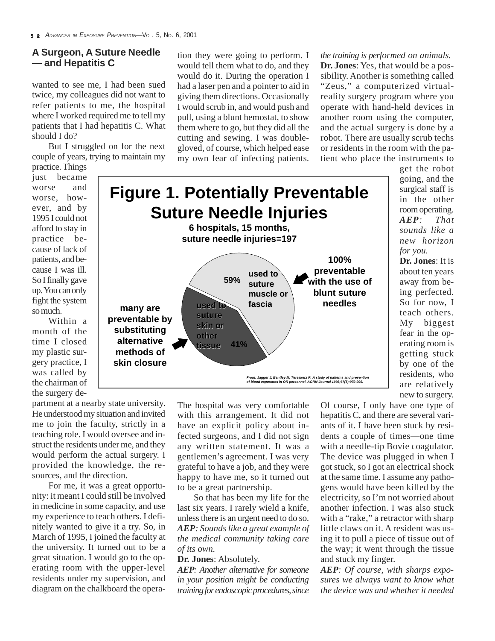wanted to see me, I had been sued twice, my colleagues did not want to refer patients to me, the hospital where I worked required me to tell my patients that I had hepatitis C. What should I do?

But I struggled on for the next couple of years, trying to maintain my

practice.Things just became worse and worse, however, and by 1995 I could not afford to stay in practice because of lack of patients, and because I was ill. So Ifinally gave up.Youcanonly fight the system somuch.

Within a month of the time I closed my plastic surgery practice, I was called by the chairman of

the surgery department at a nearby state university. He understood my situation and invited me to join the faculty, strictly in a teaching role. I would oversee and instruct the residents under me, and they would perform the actual surgery. I provided the knowledge, the resources, and the direction.

For me, it was a great opportunity: it meant I could still be involved in medicine in some capacity, and use my experience to teach others. I definitely wanted to give it a try. So, in March of 1995, I joined the faculty at the university. It turned out to be a great situation. I would go to the operating room with the upper-level residents under my supervision, and diagram on the chalkboard the opera-

tion they were going to perform. I would tell them what to do, and they would do it. During the operation I had a laser pen and a pointer to aid in giving them directions. Occasionally I would scrub in, and would push and pull, using a blunt hemostat, to show them where to go, but they did all the cutting and sewing. I was doublegloved, of course, which helped ease my own fear of infecting patients.

*the training is performed on animals.* **Dr. Jones**: Yes, that would be a possibility. Another is something called "Zeus," a computerized virtualreality surgery program where you operate with hand-held devices in another room using the computer, and the actual surgery is done by a robot. There are usually scrub techs or residents in the room with the patient who place the instruments to



get the robot going, and the surgical staff is in the other roomoperating. *AEP: That sounds like a new horizon for you.*

**Dr. Jones**: It is about ten years away from being perfected. So for now, I teach others. My biggest fear in the operating room is getting stuck by one of the residents, who are relatively new to surgery.

The hospital was very comfortable with this arrangement. It did not have an explicit policy about infected surgeons, and I did not sign any written statement. It was a gentlemen's agreement. I was very grateful to have a job, and they were happy to have me, so it turned out to be a great partnership.

So that has been my life for the last six years. I rarely wield a knife, unlessthere is an urgent need to do so. *AEP: Sounds like a great example of the medical community taking care of its own.*

#### **Dr. Jones**: Absolutely.

*AEP: Another alternative for someone in your position might be conducting trainingforendoscopicprocedures,since*

Of course, I only have one type of hepatitis C, and there are several variants of it. I have been stuck by residents a couple of times—one time with a needle-tip Bovie coagulator. The device was plugged in when I got stuck, so I got an electrical shock at the same time. I assume any pathogens would have been killed by the electricity, so I'm not worried about another infection. I was also stuck with a "rake," a retractor with sharp little claws on it. A resident was using it to pull a piece of tissue out of the way; it went through the tissue and stuck my finger.

*AEP: Of course, with sharps exposures we always want to know what the device was and whether it needed*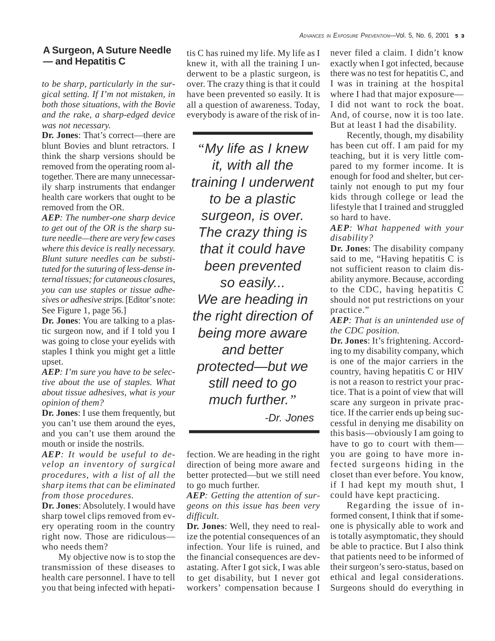*to be sharp, particularly in the surgical setting. If I'm not mistaken, in both those situations, with the Bovie and the rake, a sharp-edged device was not necessary.*

**Dr. Jones**: That's correct—there are blunt Bovies and blunt retractors. I think the sharp versions should be removed from the operating room altogether. There are many unnecessarily sharp instruments that endanger health care workers that ought to be removed from the OR.

*AEP: The number-one sharp device to get out of the OR is the sharp suture needle—there are very few cases where this device is really necessary. Blunt suture needles can be substituted forthe suturing of less-dense internal tissues; for cutaneous closures, you can use staples or tissue adhesives or adhesive strips.* [Editor's note: See Figure 1, page 56.]

**Dr. Jones**: You are talking to a plastic surgeon now, and if I told you I was going to close your eyelids with staples I think you might get a little upset.

*AEP: I'm sure you have to be selective about the use of staples. What about tissue adhesives, what is your opinion of them?*

**Dr. Jones**: I use them frequently, but you can't use them around the eyes, and you can't use them around the mouth or inside the nostrils.

*AEP: It would be useful to develop an inventory of surgical procedures, with a list of all the sharp items that can be eliminated from those procedures.*

**Dr. Jones**: Absolutely. I would have sharp towel clips removed from every operating room in the country right now. Those are ridiculous who needs them?

My objective now is to stop the transmission of these diseases to health care personnel. I have to tell you that being infected with hepatitis C has ruined my life. My life as I knew it, with all the training I underwent to be a plastic surgeon, is over. The crazy thing is that it could have been prevented so easily. It is all a question of awareness. Today, everybody is aware of the risk of in-

*"My life as I knew it, with all the training I underwent to be a plastic surgeon, is over. The crazy thing is that it could have been prevented so easily... We are heading in the right direction of being more aware and better protected—but we still need to go much further." -Dr. Jones*

fection. We are heading in the right direction of being more aware and better protected—but we still need to go much further.

*AEP: Getting the attention of surgeons on this issue has been very difficult.*

**Dr. Jones**: Well, they need to realize the potential consequences of an infection. Your life is ruined, and the financial consequences are devastating. After I got sick, I was able to get disability, but I never got workers' compensation because I

never filed a claim. I didn't know exactly when I got infected, because there was no test for hepatitis C, and I was in training at the hospital where I had that major exposure— I did not want to rock the boat. And, of course, now it is too late. But at least I had the disability.

Recently, though, my disability has been cut off. I am paid for my teaching, but it is very little compared to my former income. It is enough for food and shelter, but certainly not enough to put my four kids through college or lead the lifestyle that I trained and struggled so hard to have.

*AEP: What happened with your disability?*

**Dr. Jones**: The disability company said to me, "Having hepatitis C is not sufficient reason to claim disability anymore. Because, according to the CDC, having hepatitis C should not put restrictions on your practice."

*AEP: That is an unintended use of the CDC position.*

**Dr. Jones**: It's frightening. According to my disability company, which is one of the major carriers in the country, having hepatitis C or HIV is not a reason to restrict your practice. That is a point of view that will scare any surgeon in private practice. If the carrier ends up being successful in denying me disability on this basis—obviously I am going to have to go to court with them you are going to have more infected surgeons hiding in the closet than ever before. You know, if I had kept my mouth shut, I could have kept practicing.

Regarding the issue of informed consent, I think that if someone is physically able to work and is totally asymptomatic, they should be able to practice. But I also think that patients need to be informed of their surgeon's sero-status, based on ethical and legal considerations. Surgeons should do everything in